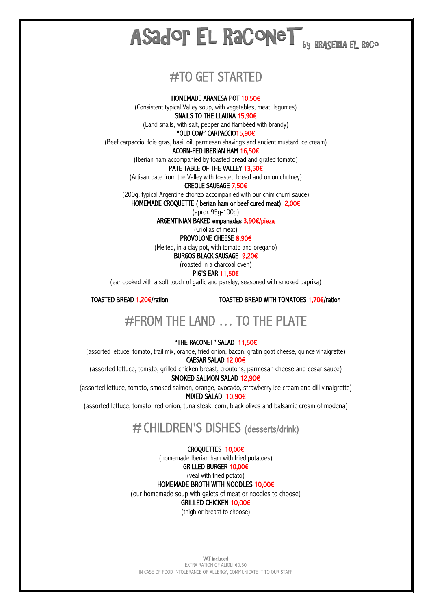# $\mathbf{B}$  by BRASERIA EL Raco Asador El RaConeT

# #TO GET STARTED

### HOMEMADE ARANESA POT 10,50€

(Consistent typical Valley soup, with vegetables, meat, legumes) SNAILS TO THE LLAUNA 15,90€

(Land snails, with salt, pepper and flambéed with brandy)

"OLD COW" CARPACCIO15,90€

(Beef carpaccio, foie gras, basil oil, parmesan shavings and ancient mustard ice cream)

### ACORN-FED IBERIAN HAM 16,50€

(Iberian ham accompanied by toasted bread and grated tomato)

### PATE TABLE OF THE VALLEY 13,50€

(Artisan pate from the Valley with toasted bread and onion chutney)

### CREOLE SAUSAGE 7,50€

(200g, typical Argentine chorizo accompanied with our chimichurri sauce) HOMEMADE CROQUETTE (Iberian ham or beef cured meat) 2,00€

(aprox 95g-100g)

ARGENTINIAN BAKED empanadas 3,90€/pieza

(Criollas of meat)

PROVOLONE CHEESE 8,90€

(Melted, in a clay pot, with tomato and oregano)

BURGOS BLACK SAUSAGE 9,20€

### (roasted in a charcoal oven) PIG'S EAR 11,50€

(ear cooked with a soft touch of garlic and parsley, seasoned with smoked paprika)

TOASTED BREAD 1,20€/ration TOASTED BREAD WITH TOMATOES 1,70€/ration

# #FROM THE LAND … TO THE PLATE

### "THE RACONET" SALAD 11,50€

(assorted lettuce, tomato, trail mix, orange, fried onion, bacon, gratin goat cheese, quince vinaigrette) CAESAR SALAD 12,00€

(assorted lettuce, tomato, grilled chicken breast, croutons, parmesan cheese and cesar sauce)

SMOKED SALMON SALAD 12,90€

(assorted lettuce, tomato, smoked salmon, orange, avocado, strawberry ice cream and dill vinaigrette) MIXED SALAD 10,90€

(assorted lettuce, tomato, red onion, tuna steak, corn, black olives and balsamic cream of modena)

# #CHILDREN'S DISHES (desserts/drink)

### CROQUETTES 10,00€

(homemade Iberian ham with fried potatoes)

### GRILLED BURGER 10,00€ (veal with fried potato)

HOMEMADE BROTH WITH NOODLES 10,00€

(our homemade soup with galets of meat or noodles to choose)

GRILLED CHICKEN 10,00€

(thigh or breast to choose)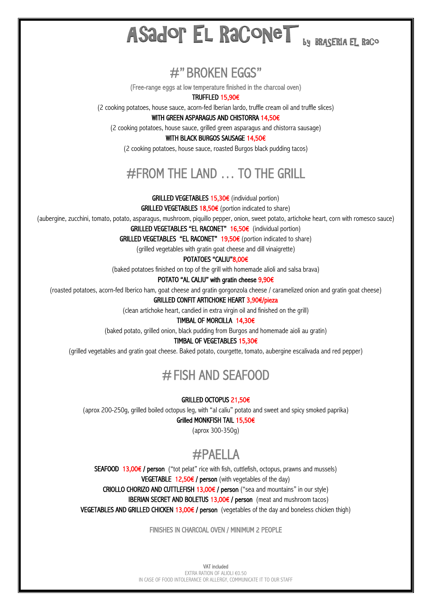## by BRASERIA EL RaCo Asador El RaConeT

**#" BROKEN EGGS"**<br>(Free-range eggs at low temperature finished in the charcoal oven)

TRUFFLED 15,90€

(2 cooking potatoes, house sauce, acorn-fed Iberian lardo, truffle cream oil and truffle slices)

WITH GREEN ASPARAGUS AND CHISTORRA 14,50€

(2 cooking potatoes, house sauce, grilled green asparagus and chistorra sausage)

### WITH BLACK BURGOS SAUSAGE 14,50€

(2 cooking potatoes, house sauce, roasted Burgos black pudding tacos)

# #FROM THE LAND … TO THE GRILL

GRILLED VEGETABLES 15,30€ (individual portion)

GRILLED VEGETABLES 18,50€ (portion indicated to share)

(aubergine, zucchini, tomato, potato, asparagus, mushroom, piquillo pepper, onion, sweet potato, artichoke heart, corn with romesco sauce)

GRILLED VEGETABLES "EL RACONET" 16,50€ (individual portion)

GRILLED VEGETABLES "EL RACONET"  $19,50€$  (portion indicated to share)

(grilled vegetables with gratin goat cheese and dill vinaigrette)

POTATOES "CALIU"8,00€

(baked potatoes finished on top of the grill with homemade alioli and salsa brava)

POTATO "AL CALIU" with gratin cheese 9,90€

(roasted potatoes, acorn-fed Iberico ham, goat cheese and gratin gorgonzola cheese / caramelized onion and gratin goat cheese)

### GRILLED CONFIT ARTICHOKE HEART 3,90€/pieza

(clean artichoke heart, candied in extra virgin oil and finished on the grill)

### TIMBAL OF MORCILLA 14,30€

(baked potato, grilled onion, black pudding from Burgos and homemade aioli au gratin)

### TIMBAL OF VEGETABLES 15,30€

(grilled vegetables and gratin goat cheese. Baked potato, courgette, tomato, aubergine escalivada and red pepper)

# #FISH AND SEAFOOD

### GRILLED OCTOPUS 21,50€

(aprox 200-250g, grilled boiled octopus leg, with "al caliu" potato and sweet and spicy smoked paprika)

### Grilled MONKFISH TAIL 15,50€

(aprox 300-350g)

#PAELLA<br>SEAFOOD 13,00€ / person ("tot pelat" rice with fish, cuttlefish, octopus, prawns and mussels)

**VEGETABLE 12,50€ / person** (with vegetables of the day)

CRIOLLO CHORIZO AND CUTTLEFISH 13,00 $\epsilon$  / person ("sea and mountains" in our style)

**IBERIAN SECRET AND BOLETUS 13,00€ / person** (meat and mushroom tacos)

VEGETABLES AND GRILLED CHICKEN 13,00€ / person (vegetables of the day and boneless chicken thigh)

FINISHES IN CHARCOAL OVEN / MINIMUM 2 PEOPLE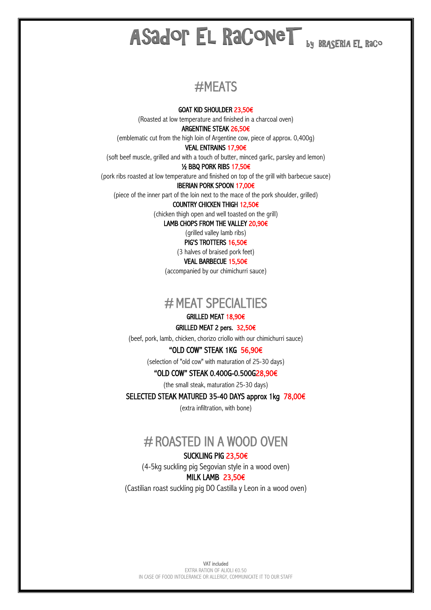# ASAdop El RaconeT by Braseria el raco

# #MEATS

GOAT KID SHOULDER 23,50€

(Roasted at low temperature and finished in a charcoal oven)

ARGENTINE STEAK 26,50€

(emblematic cut from the high loin of Argentine cow, piece of approx. 0,400g)

VEAL ENTRAINS 17,90€

(soft beef muscle, grilled and with a touch of butter, minced garlic, parsley and lemon)

½ BBQ PORK RIBS 17,50€

(pork ribs roasted at low temperature and finished on top of the grill with barbecue sauce)

IBERIAN PORK SPOON 17,00€

(piece of the inner part of the loin next to the mace of the pork shoulder, grilled) COUNTRY CHICKEN THIGH 12,50€

(chicken thigh open and well toasted on the grill)

LAMB CHOPS FROM THE VALLEY 20,90€

(grilled valley lamb ribs) PIG'S TROTTERS 16,50€

(3 halves of braised pork feet)

VEAL BARBECUE 15,50€

(accompanied by our chimichurri sauce)

# # MEAT SPECIALTIES

## GRILLED MEAT 18,90€

### GRILLED MEAT 2 pers. 32,50€

(beef, pork, lamb, chicken, chorizo criollo with our chimichurri sauce)

"OLD COW" STEAK 1KG 56,90€

(selection of "old cow" with maturation of 25-30 days)

### "OLD COW" STEAK 0.400G-0.500G28,90€

(the small steak, maturation 25-30 days)

SELECTED STEAK MATURED 35-40 DAYS approx 1kg 78,00€

(extra infiltration, with bone)

# # ROASTED IN A WOOD OVEN<br>SUCKLING PIG 23.50€

(4-5kg suckling pig Segovian style in a wood oven)

### MILK LAMB 23,50€

(Castilian roast suckling pig DO Castilla y Leon in a wood oven)